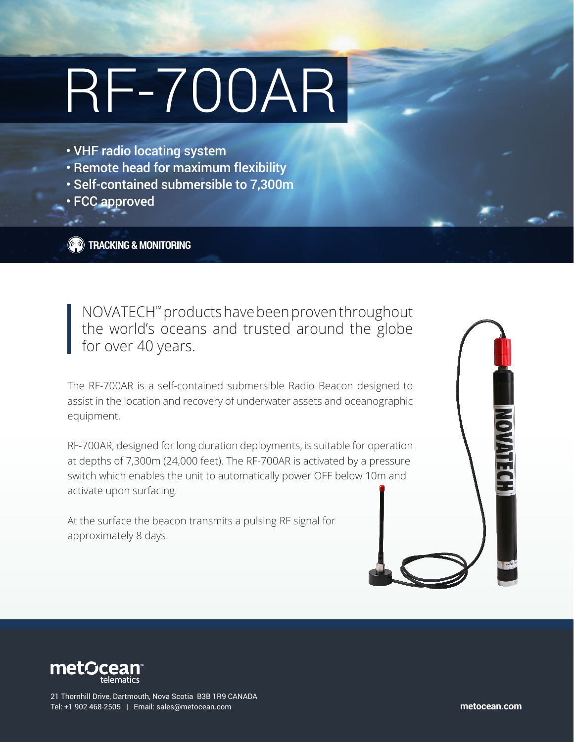# RF-700AR

- VHF radio locating system
- Remote head for maximum flexibility
- Self-contained submersible to 7,300m
- FCC approved

**TRACKING & MONITORING**

NOVATECH™ products have been proven throughout the world's oceans and trusted around the globe for over 40 years.

The RF-700AR is a self-contained submersible Radio Beacon designed to assist in the location and recovery of underwater assets and oceanographic equipment.

RF-700AR, designed for long duration deployments, is suitable for operation at depths of 7,300m (24,000 feet). The RF-700AR is activated by a pressure switch which enables the unit to automatically power OFF below 10m and activate upon surfacing.

At the surface the beacon transmits a pulsing RF signal for approximately 8 days.